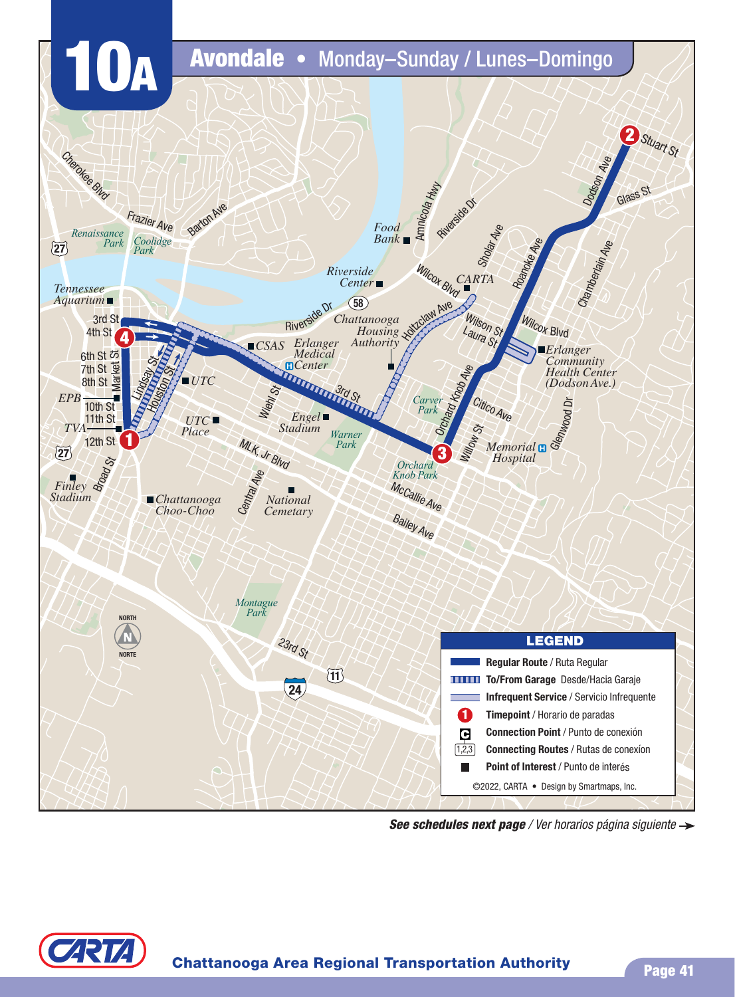

*See schedules next page* / Ver horarios página siguiente

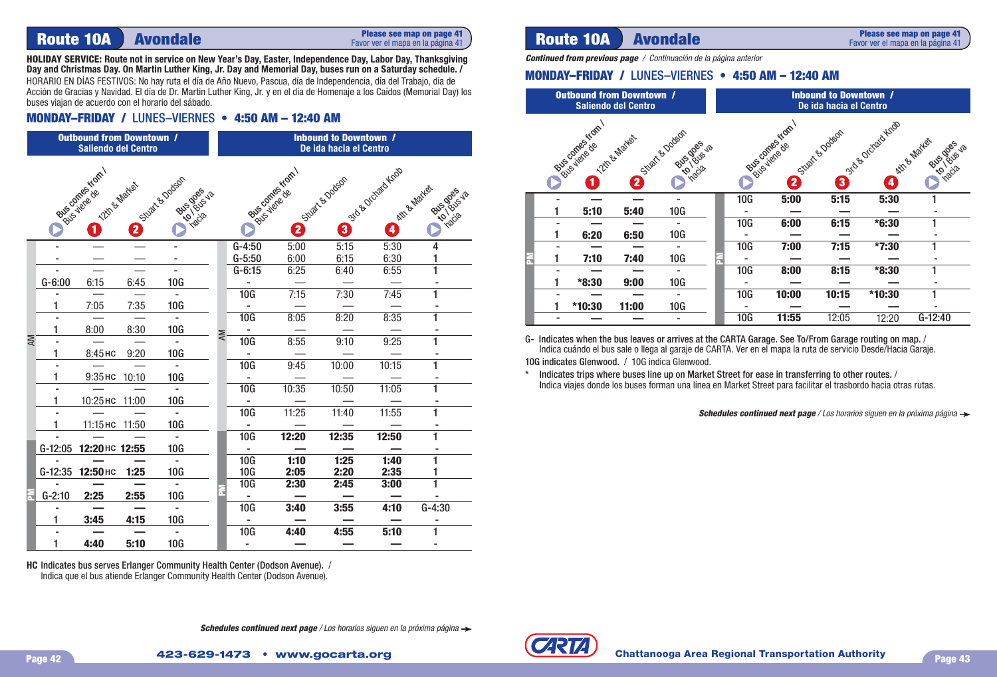# **Route 10A Avondale**

#### **Please see map on page 41** Favor ver el mapa en la página 41

**HOLIDAY SERVICE: Route not in service on New Year's Day, Easter, Independence Day, Labor Day, Thanksgiving Day and Christmas Day. On Martin Luther King, Jr. Day and Memorial Day, buses run on a Saturday schedule. /** HORARIO EN DÍAS FESTIVOS: No hay ruta el día de Año Nuevo, Pascua, día de Independencia, día del Trabajo, día de

Acción de Gracias y Navidad. El día de Dr. Martin Luther King, Jr. y en el día de Homenaje a los Caídos (Memorial Day) los buses viajan de acuerdo con el horario del sábado.

### **MONDAY–FRIDAY / LUNES–VIERNES • 4:50 AM - 12:40 AM**

|    |                     | <b>Outbound from Downtown /</b><br><b>Saliendo del Centro</b> |       |                                       |           | <b>Inbound to Downtown /</b><br>De ida hacia el Centro |                    |                      |                                          |                     |  |  |  |
|----|---------------------|---------------------------------------------------------------|-------|---------------------------------------|-----------|--------------------------------------------------------|--------------------|----------------------|------------------------------------------|---------------------|--|--|--|
|    |                     | <b>Mate contractor</b><br>12th By Market                      | 2     | Stuart & Dodson<br><b>PHS DOSS</b> JS |           |                                                        | Joseph Contraction | Stuart e Dodson<br>3 | 350 B October Keep<br>kitt & Mariet<br>Đ | <b>PHS DOS</b> S-JS |  |  |  |
|    |                     |                                                               |       |                                       |           | $G-4:50$                                               | 5:00               | 5:15                 | 5:30                                     | 4                   |  |  |  |
|    |                     |                                                               |       |                                       |           | $G-5:50$                                               | 6:00               | 6:15                 | 6:30                                     | 1                   |  |  |  |
|    |                     |                                                               |       |                                       |           | $G-6:15$                                               | 6:25               | 6:40                 | 6:55                                     | ī                   |  |  |  |
|    | $G-6:00$            | 6:15                                                          | 6:45  | 10G                                   |           |                                                        |                    |                      |                                          |                     |  |  |  |
|    |                     |                                                               |       |                                       |           | 10G                                                    | 7:15               | 7:30                 | 7:45                                     | 1                   |  |  |  |
|    | 1                   | 7:05                                                          | 7:35  | 10G                                   |           |                                                        |                    |                      |                                          |                     |  |  |  |
|    |                     |                                                               |       |                                       |           | 10G                                                    | 8:05               | 8:20                 | 8:35                                     | 1                   |  |  |  |
| ΜV | $\mathbf{1}$        | 8:00                                                          | 8:30  | 10G                                   | <b>AM</b> |                                                        |                    |                      |                                          | 1                   |  |  |  |
|    | 1                   |                                                               |       | 10G                                   |           | 10G                                                    | 8:55               | 9:10                 | 9:25                                     |                     |  |  |  |
|    | $\blacksquare$      | 8:45 нс                                                       | 9:20  | ä,                                    |           | 10G                                                    | 9:45               | 10:00                | 10:15                                    | 1                   |  |  |  |
|    | 1                   | 9:35 нс                                                       | 10:10 | <b>10G</b>                            |           |                                                        |                    |                      |                                          |                     |  |  |  |
|    |                     |                                                               |       | $\blacksquare$                        |           | 10G                                                    | 10:35              | 10:50                | 11:05                                    | 1                   |  |  |  |
|    | 1                   | 10:25 нс 11:00                                                |       | 10G                                   |           | $\sim$                                                 |                    |                      |                                          |                     |  |  |  |
|    |                     |                                                               |       | ÷.                                    |           | 10G                                                    | 11:25              | 11:40                | 11:55                                    | 1                   |  |  |  |
|    | 1                   | 11:15 нс 11:50                                                |       | 10G                                   |           | $\mathbf{r}$                                           |                    |                      |                                          |                     |  |  |  |
|    |                     |                                                               |       |                                       |           | 10G                                                    | 12:20              | 12:35                | 12:50                                    | 1                   |  |  |  |
|    | $G-12:05$           | 12:20 нс 12:55                                                |       | <b>10G</b>                            |           |                                                        |                    |                      |                                          |                     |  |  |  |
|    |                     |                                                               |       |                                       |           | 10G                                                    | 1:10               | 1:25                 | 1:40                                     | 1                   |  |  |  |
|    | $G-12:35$           | 12:50 нс                                                      | 1:25  | 10G                                   |           | 10G                                                    | 2:05               | 2:20                 | 2:35                                     | 1                   |  |  |  |
|    |                     |                                                               |       |                                       |           | 10G                                                    | 2:30               | 2:45                 | 3:00                                     | $\overline{1}$      |  |  |  |
|    | $G-2:10$            | 2:25                                                          | 2:55  | <b>10G</b>                            |           |                                                        |                    |                      |                                          |                     |  |  |  |
|    | $\bar{\phantom{a}}$ |                                                               |       |                                       |           | 10G                                                    | 3:40               | 3:55                 | 4:10                                     | $G-4:30$            |  |  |  |
|    | 1                   | 3:45                                                          | 4:15  | 10G                                   |           |                                                        |                    |                      |                                          |                     |  |  |  |
|    |                     |                                                               |       | $\mathbf{r}$                          |           | 10G                                                    | 4:40               | 4:55                 | 5:10                                     | 1                   |  |  |  |
|    | $\mathbf{1}$        | 4:40                                                          | 5:10  | 10G                                   |           | $\blacksquare$                                         |                    |                      |                                          | ۰                   |  |  |  |

**HC** Indicates bus serves Erlanger Community Health Center (Dodson Avenue). / Indica que el bus atiende Erlanger Community Health Center (Dodson Avenue).

## **Route 10A Avondale**

**Please see map on page 41** Favor ver el mapa en la página 41

*Continued from previous page* / Continuación de la página anterior

### **MONDAY–FRIDAY / LUNES–VIERNES • 4:50 AM - 12:40 AM**

| <b>Outbound from Downtown /</b><br><b>Saliendo del Centro</b>                                           |         |       |     |  | <b>Inbound to Downtown /</b><br>De ida hacia el Centro |                                                    |       |         |           |  |  |
|---------------------------------------------------------------------------------------------------------|---------|-------|-----|--|--------------------------------------------------------|----------------------------------------------------|-------|---------|-----------|--|--|
| Bused various Kom<br>Stuart & Dodson<br>12th & Martes<br>Bits dass 18<br><b>Inacia</b><br><b>g</b><br>2 |         |       |     |  | Bus comes Kom                                          | Ath & Market<br>Rus dos<br><b>1845-18</b><br>nacia |       |         |           |  |  |
|                                                                                                         |         |       |     |  | 10G                                                    | 5:00                                               | 5:15  | 5:30    |           |  |  |
|                                                                                                         | 5:10    | 5:40  | 10G |  |                                                        |                                                    |       |         |           |  |  |
|                                                                                                         |         |       |     |  | <b>10G</b>                                             | 6:00                                               | 6:15  | $*6:30$ |           |  |  |
|                                                                                                         | 6:20    | 6:50  | 10G |  |                                                        |                                                    |       |         |           |  |  |
|                                                                                                         |         |       | ٠   |  | 10G                                                    | 7:00                                               | 7:15  | $*7:30$ |           |  |  |
|                                                                                                         | 7:10    | 7:40  | 10G |  |                                                        |                                                    |       |         |           |  |  |
|                                                                                                         |         |       |     |  | 10G                                                    | 8:00                                               | 8:15  | $*8:30$ |           |  |  |
|                                                                                                         | $*8:30$ | 9:00  | 10G |  |                                                        |                                                    |       |         |           |  |  |
|                                                                                                         |         |       |     |  | 10G                                                    | 10:00                                              | 10:15 | *10:30  |           |  |  |
|                                                                                                         | *10:30  | 11:00 | 10G |  |                                                        |                                                    |       |         |           |  |  |
|                                                                                                         |         |       |     |  | 10G                                                    | 11:55                                              | 12:05 | 12:20   | $G-12:40$ |  |  |

G- Indicates when the bus leaves or arrives at the CARTA Garage. See To/From Garage routing on map. / Indica cuándo el bus sale o llega al garaje de CARTA. Ver en el mapa la ruta de servicio Desde/Hacia Garaje. 10G indicates Glenwood. / 10G indica Glenwood.

\* Indicates trips where buses line up on Market Street for ease in transferring to other routes. / Indica viajes donde los buses forman una línea en Market Street para facilitar el trasbordo hacia otras rutas.

**Schedules continued next page** / Los horarios siguen en la próxima página  $\rightarrow$ 



**Schedules continued next page** / Los horarios siguen en la próxima página  $\rightarrow$